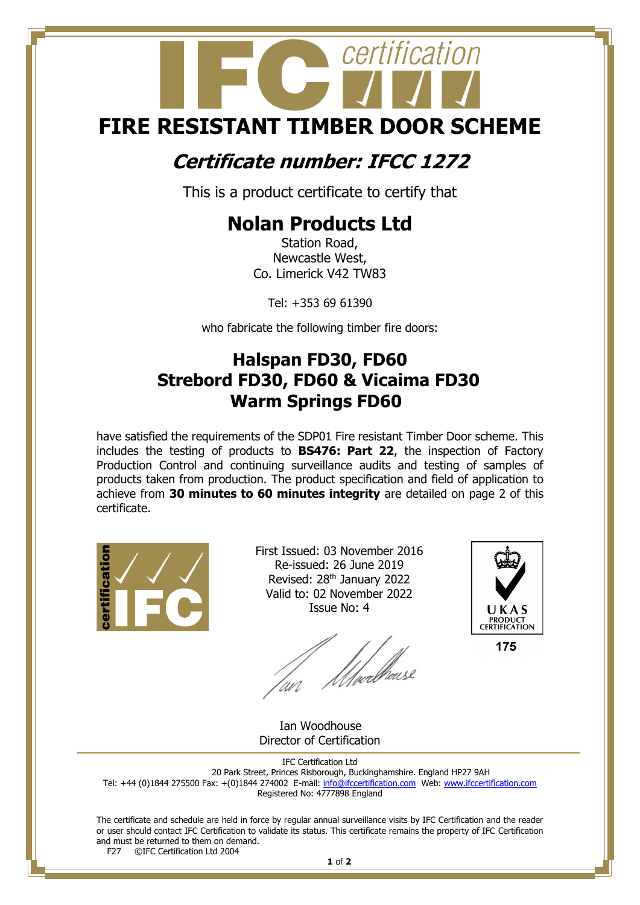# certification **FIRE RESISTANT TIMBER DOOR SCHEME**

### **Certificate number: IFCC 1272**

This is a product certificate to certify that

## **Nolan Products Ltd**

Station Road, Newcastle West, Co. Limerick V42 TW83

Tel: +353 69 61390

who fabricate the following timber fire doors:

#### **Halspan FD30, FD60 Strebord FD30, FD60 & Vicaima FD30 Warm Springs FD60**

have satisfied the requirements of the SDP01 Fire resistant Timber Door scheme. This includes the testing of products to **BS476: Part 22**, the inspection of Factory Production Control and continuing surveillance audits and testing of samples of products taken from production. The product specification and field of application to achieve from **30 minutes to 60 minutes integrity** are detailed on page 2 of this certificate.



First Issued: 03 November 2016 Re-issued: 26 June 2019 Revised: 28<sup>th</sup> January 2022 Valid to: 02 November 2022 Issue No: 4



175

*Uwelleess* 

 Ian Woodhouse Director of Certification

IFC Certification Ltd 20 Park Street, Princes Risborough, Buckinghamshire. England HP27 9AH Tel: +44 (0)1844 275500 Fax: +(0)1844 274002 E-mail[: info@ifccertification.com](mailto:info@ifccertification.com) Web: [www.ifccertification.com](http://www.ifccertification.com/) Registered No: 4777898 England

The certificate and schedule are held in force by regular annual surveillance visits by IFC Certification and the reader or user should contact IFC Certification to validate its status. This certificate remains the property of IFC Certification and must be returned to them on demand.<br> $F27$  © TEC Certification Ltd 2004 ©IFC Certification Ltd 2004

**1** of **2**